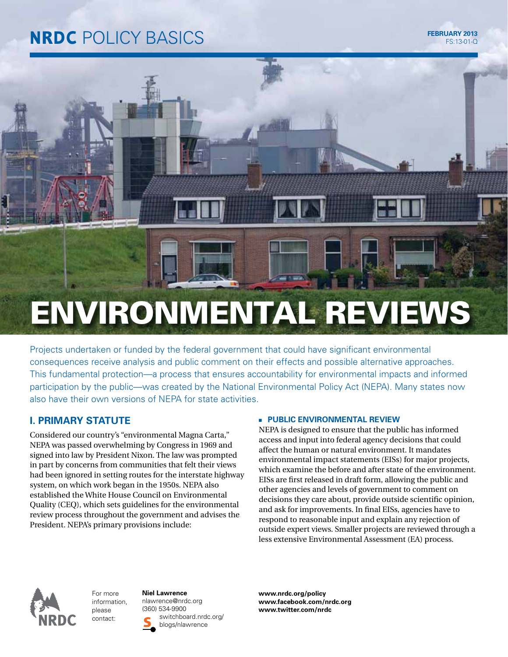# **NRDC** POLICY BASICS FEBRUARY 2013

# ENVIRONMENTAL REVIEWS

Projects undertaken or funded by the federal government that could have significant environmental consequences receive analysis and public comment on their effects and possible alternative approaches. This fundamental protection—a process that ensures accountability for environmental impacts and informed participation by the public—was created by the National Environmental Policy Act (NEPA). Many states now also have their own versions of NEPA for state activities.

# **I. PRIMARY STATUTE**

Considered our country's "environmental Magna Carta," NEPA was passed overwhelming by Congress in 1969 and signed into law by President Nixon. The law was prompted in part by concerns from communities that felt their views had been ignored in setting routes for the interstate highway system, on which work began in the 1950s. NEPA also established the White House Council on Environmental Quality (CEQ), which sets guidelines for the environmental review process throughout the government and advises the President. NEPA's primary provisions include:

### **E** PUBLIC ENVIRONMENTAL REVIEW

NEPA is designed to ensure that the public has informed access and input into federal agency decisions that could affect the human or natural environment. It mandates environmental impact statements (EISs) for major projects, which examine the before and after state of the environment. EISs are first released in draft form, allowing the public and other agencies and levels of government to comment on decisions they care about, provide outside scientific opinion, and ask for improvements. In final EISs, agencies have to respond to reasonable input and explain any rejection of outside expert views. Smaller projects are reviewed through a less extensive Environmental Assessment (EA) process.



For more information, please contact:

**Niel Lawrence** nlawrence@nrdc.org (360) 534-9900 switchboard.nrdc.org/ blogs/nlawrence

**www.nrdc.org/policy www.facebook.com/nrdc.org www.twitter.com/nrdc**